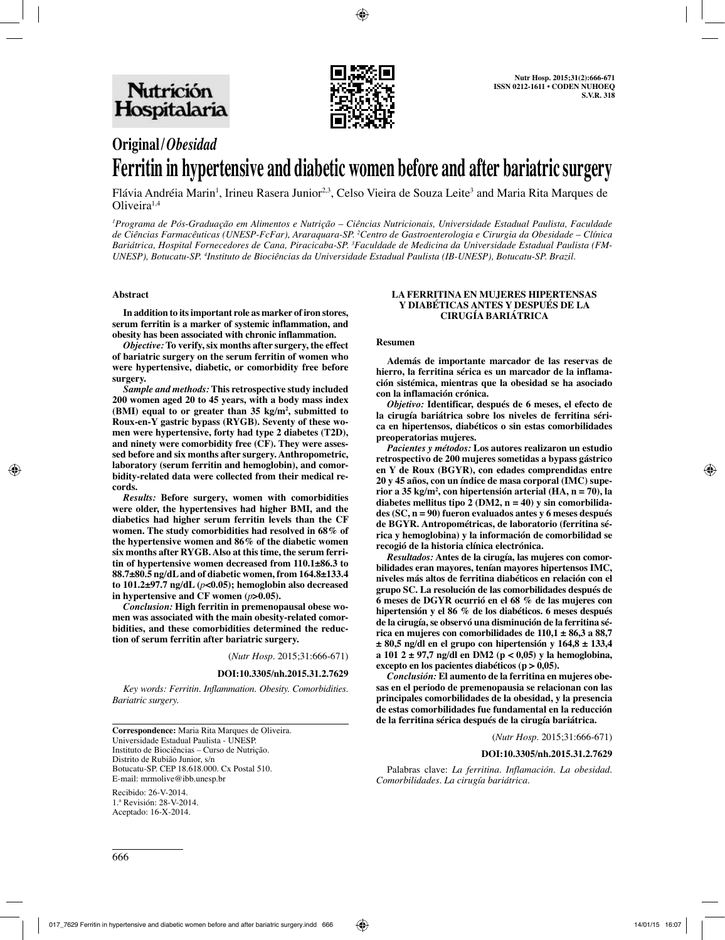

# **Original/***Obesidad* **Ferritin in hypertensive and diabetic women before and after bariatric surgery**

Flávia Andréia Marin<sup>1</sup>, Irineu Rasera Junior<sup>2,3</sup>, Celso Vieira de Souza Leite<sup>3</sup> and Maria Rita Marques de Oliveira<sup>1,4</sup>

*1 Programa de Pós-Graduação em Alimentos e Nutrição – Ciências Nutricionais, Universidade Estadual Paulista, Faculdade de Ciências Farmacêuticas (UNESP-FcFar), Araraquara-SP. 2 Centro de Gastroenterologia e Cirurgia da Obesidade – Clínica Bariátrica, Hospital Fornecedores de Cana, Piracicaba-SP. 3 Faculdade de Medicina da Universidade Estadual Paulista (FM-UNESP), Botucatu-SP. 4 Instituto de Biociências da Universidade Estadual Paulista (IB-UNESP), Botucatu-SP. Brazil.*

## **Abstract**

**In addition to its important role as marker of iron stores, serum ferritin is a marker of systemic inflammation, and obesity has been associated with chronic inflammation.**

*Objective:* **To verify, six months after surgery, the effect of bariatric surgery on the serum ferritin of women who were hypertensive, diabetic, or comorbidity free before surgery.**

*Sample and methods:* **This retrospective study included 200 women aged 20 to 45 years, with a body mass index (BMI) equal to or greater than 35 kg/m2 , submitted to Roux-en-Y gastric bypass (RYGB). Seventy of these women were hypertensive, forty had type 2 diabetes (T2D), and ninety were comorbidity free (CF). They were assessed before and six months after surgery. Anthropometric, laboratory (serum ferritin and hemoglobin), and comorbidity-related data were collected from their medical records.**

*Results:* **Before surgery, women with comorbidities were older, the hypertensives had higher BMI, and the diabetics had higher serum ferritin levels than the CF women. The study comorbidities had resolved in 68% of the hypertensive women and 86% of the diabetic women six months after RYGB. Also at this time, the serum ferritin of hypertensive women decreased from 110.1±86.3 to 88.7±80.5 ng/dL and of diabetic women, from 164.8±133.4 to 101.2±97.7 ng/dL (***p***<0.05); hemoglobin also decreased in hypertensive and CF women (***p***>0.05).**

*Conclusion:* **High ferritin in premenopausal obese women was associated with the main obesity-related comorbidities, and these comorbidities determined the reduction of serum ferritin after bariatric surgery.** 

(*Nutr Hosp.* 2015;31:666-671)

**DOI:10.3305/nh.2015.31.2.7629**

*Key words: Ferritin. Inflammation. Obesity. Comorbidities. Bariatric surgery.*

**Correspondence:** Maria Rita Marques de Oliveira. Universidade Estadual Paulista - UNESP. Instituto de Biociências – Curso de Nutrição. Distrito de Rubião Junior, s/n Botucatu-SP. CEP 18.618.000. Cx Postal 510. E-mail: mrmolive@ibb.unesp.br

Recibido: 26-V-2014. 1.ª Revisión: 28-V-2014. Aceptado: 16-X-2014.

#### **LA FERRITINA EN MUJERES HIPERTENSAS Y DIABÉTICAS ANTES Y DESPUÉS DE LA CIRUGÍA BARIÁTRICA**

#### **Resumen**

**Además de importante marcador de las reservas de hierro, la ferritina sérica es un marcador de la inflamación sistémica, mientras que la obesidad se ha asociado con la inflamación crónica.**

*Objetivo:* **Identificar, después de 6 meses, el efecto de la cirugía bariátrica sobre los niveles de ferritina sérica en hipertensos, diabéticos o sin estas comorbilidades preoperatorias mujeres.**

*Pacientes y métodos:* **Los autores realizaron un estudio retrospectivo de 200 mujeres sometidas a bypass gástrico en Y de Roux (BGYR), con edades comprendidas entre 20 y 45 años, con un índice de masa corporal (IMC) superior a 35 kg/m2 , con hipertensión arterial (HA, n = 70), la diabetes mellitus tipo 2 (DM2, n = 40) y sin comorbilidades (SC, n = 90) fueron evaluados antes y 6 meses después de BGYR. Antropométricas, de laboratorio (ferritina sérica y hemoglobina) y la información de comorbilidad se recogió de la historia clínica electrónica.**

*Resultados:* **Antes de la cirugía, las mujeres con comorbilidades eran mayores, tenían mayores hipertensos IMC, niveles más altos de ferritina diabéticos en relación con el grupo SC. La resolución de las comorbilidades después de 6 meses de DGYR ocurrió en el 68 % de las mujeres con hipertensión y el 86 % de los diabéticos. 6 meses después de la cirugía, se observó una disminución de la ferritina sérica en mujeres con comorbilidades de 110,1 ± 86,3 a 88,7 ± 80,5 ng/dl en el grupo con hipertensión y 164,8 ± 133,4 a 101 2 ± 97,7 ng/dl en DM2 (p < 0,05) y la hemoglobina, excepto en los pacientes diabéticos (p > 0,05).**

*Conclusión:* **El aumento de la ferritina en mujeres obesas en el periodo de premenopausia se relacionan con las principales comorbilidades de la obesidad, y la presencia de estas comorbilidades fue fundamental en la reducción de la ferritina sérica después de la cirugía bariátrica.**

(*Nutr Hosp.* 2015;31:666-671)

#### **DOI:10.3305/nh.2015.31.2.7629**

Palabras clave: *La ferritina. Inflamación. La obesidad. Comorbilidades. La cirugía bariátrica.*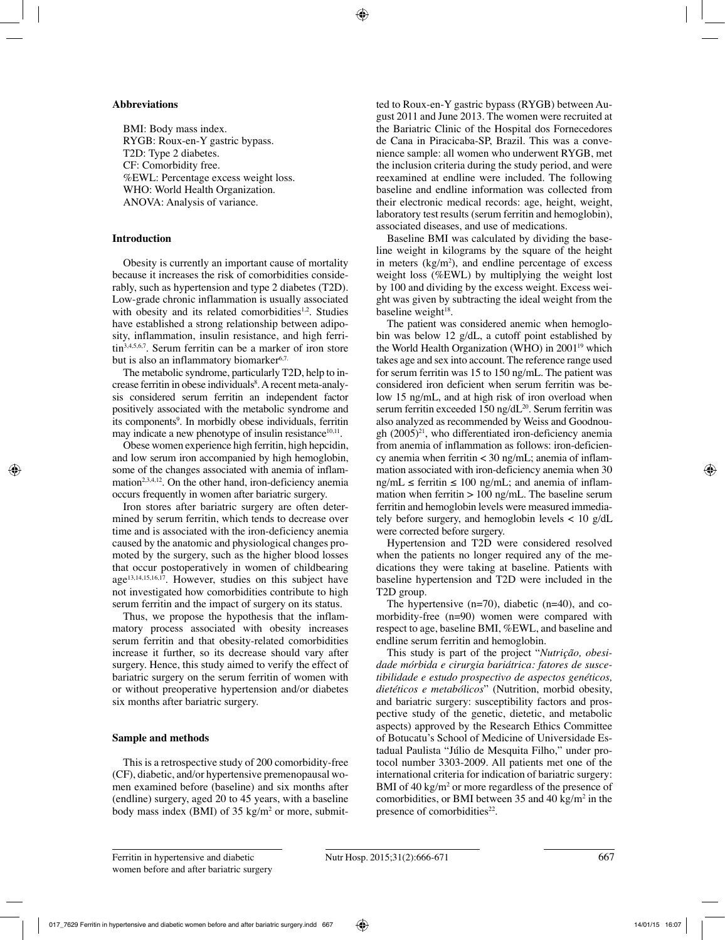## **Abbreviations**

BMI: Body mass index. RYGB: Roux-en-Y gastric bypass. T2D: Type 2 diabetes. CF: Comorbidity free. %EWL: Percentage excess weight loss. WHO: World Health Organization. ANOVA: Analysis of variance.

# **Introduction**

Obesity is currently an important cause of mortality because it increases the risk of comorbidities considerably, such as hypertension and type 2 diabetes (T2D). Low-grade chronic inflammation is usually associated with obesity and its related comorbidities<sup>1,2</sup>. Studies have established a strong relationship between adiposity, inflammation, insulin resistance, and high ferritin<sup>3,4,5,6,7</sup>. Serum ferritin can be a marker of iron store but is also an inflammatory biomarker<sup>6,7.</sup>

The metabolic syndrome, particularly T2D, help to increase ferritin in obese individuals<sup>8</sup>. A recent meta-analysis considered serum ferritin an independent factor positively associated with the metabolic syndrome and its components<sup>9</sup>. In morbidly obese individuals, ferritin may indicate a new phenotype of insulin resistance $10,11$ .

Obese women experience high ferritin, high hepcidin, and low serum iron accompanied by high hemoglobin, some of the changes associated with anemia of inflammation<sup>2,3,4,12</sup>. On the other hand, iron-deficiency anemia occurs frequently in women after bariatric surgery.

Iron stores after bariatric surgery are often determined by serum ferritin, which tends to decrease over time and is associated with the iron-deficiency anemia caused by the anatomic and physiological changes promoted by the surgery, such as the higher blood losses that occur postoperatively in women of childbearing age13,14,15,16,17. However, studies on this subject have not investigated how comorbidities contribute to high serum ferritin and the impact of surgery on its status.

Thus, we propose the hypothesis that the inflammatory process associated with obesity increases serum ferritin and that obesity-related comorbidities increase it further, so its decrease should vary after surgery. Hence, this study aimed to verify the effect of bariatric surgery on the serum ferritin of women with or without preoperative hypertension and/or diabetes six months after bariatric surgery.

# **Sample and methods**

This is a retrospective study of 200 comorbidity-free (CF), diabetic, and/or hypertensive premenopausal women examined before (baseline) and six months after (endline) surgery, aged 20 to 45 years, with a baseline body mass index (BMI) of 35 kg/m<sup>2</sup> or more, submitted to Roux-en-Y gastric bypass (RYGB) between August 2011 and June 2013. The women were recruited at the Bariatric Clinic of the Hospital dos Fornecedores de Cana in Piracicaba-SP, Brazil. This was a convenience sample: all women who underwent RYGB, met the inclusion criteria during the study period, and were reexamined at endline were included. The following baseline and endline information was collected from their electronic medical records: age, height, weight, laboratory test results (serum ferritin and hemoglobin), associated diseases, and use of medications.

Baseline BMI was calculated by dividing the baseline weight in kilograms by the square of the height in meters  $(kg/m<sup>2</sup>)$ , and endline percentage of excess weight loss (%EWL) by multiplying the weight lost by 100 and dividing by the excess weight. Excess weight was given by subtracting the ideal weight from the baseline weight $^{18}$ .

The patient was considered anemic when hemoglobin was below 12 g/dL, a cutoff point established by the World Health Organization (WHO) in 2001<sup>19</sup> which takes age and sex into account. The reference range used for serum ferritin was 15 to 150 ng/mL. The patient was considered iron deficient when serum ferritin was below 15 ng/mL, and at high risk of iron overload when serum ferritin exceeded 150 ng/dL<sup>20</sup>. Serum ferritin was also analyzed as recommended by Weiss and Goodnough  $(2005)^{21}$ , who differentiated iron-deficiency anemia from anemia of inflammation as follows: iron-deficiency anemia when ferritin < 30 ng/mL; anemia of inflammation associated with iron-deficiency anemia when 30  $n\Omega/mL \le$  ferritin  $\leq 100$  ng/mL; and anemia of inflammation when ferritin  $> 100$  ng/mL. The baseline serum ferritin and hemoglobin levels were measured immediately before surgery, and hemoglobin levels < 10 g/dL were corrected before surgery.

Hypertension and T2D were considered resolved when the patients no longer required any of the medications they were taking at baseline. Patients with baseline hypertension and T2D were included in the T2D group.

The hypertensive (n=70), diabetic (n=40), and comorbidity-free (n=90) women were compared with respect to age, baseline BMI, %EWL, and baseline and endline serum ferritin and hemoglobin.

This study is part of the project "*Nutrição, obesidade mórbida e cirurgia bariátrica: fatores de suscetibilidade e estudo prospectivo de aspectos genéticos, dietéticos e metabólicos*" (Nutrition, morbid obesity, and bariatric surgery: susceptibility factors and prospective study of the genetic, dietetic, and metabolic aspects) approved by the Research Ethics Committee of Botucatu's School of Medicine of Universidade Estadual Paulista "Júlio de Mesquita Filho," under protocol number 3303-2009. All patients met one of the international criteria for indication of bariatric surgery: BMI of  $40 \text{ kg/m}^2$  or more regardless of the presence of comorbidities, or BMI between 35 and 40  $\text{kg/m}^2$  in the presence of comorbidities<sup>22</sup>.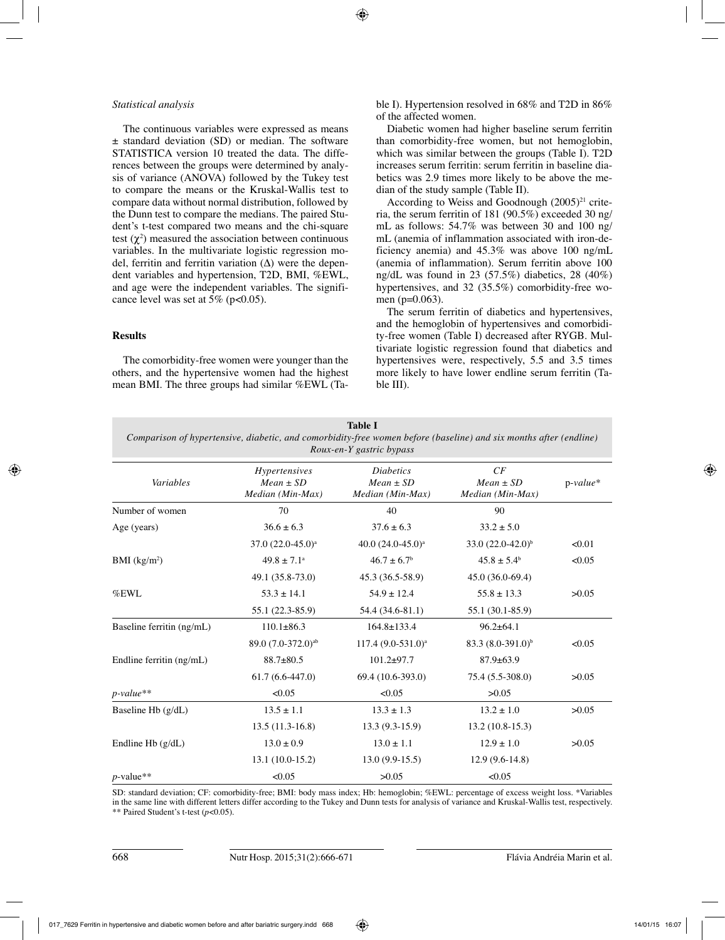### *Statistical analysis*

The continuous variables were expressed as means ± standard deviation (SD) or median. The software STATISTICA version 10 treated the data. The differences between the groups were determined by analysis of variance (ANOVA) followed by the Tukey test to compare the means or the Kruskal-Wallis test to compare data without normal distribution, followed by the Dunn test to compare the medians. The paired Student's t-test compared two means and the chi-square test  $(\chi^2)$  measured the association between continuous variables. In the multivariate logistic regression model, ferritin and ferritin variation  $(\Delta)$  were the dependent variables and hypertension, T2D, BMI, %EWL, and age were the independent variables. The significance level was set at  $5\%$  (p<0.05).

## **Results**

The comorbidity-free women were younger than the others, and the hypertensive women had the highest mean BMI. The three groups had similar %EWL (Table I). Hypertension resolved in 68% and T2D in 86% of the affected women.

Diabetic women had higher baseline serum ferritin than comorbidity-free women, but not hemoglobin, which was similar between the groups (Table I). T2D increases serum ferritin: serum ferritin in baseline diabetics was 2.9 times more likely to be above the median of the study sample (Table II).

According to Weiss and Goodnough  $(2005)^{21}$  criteria, the serum ferritin of 181 (90.5%) exceeded 30 ng/ mL as follows: 54.7% was between 30 and 100 ng/ mL (anemia of inflammation associated with iron-deficiency anemia) and 45.3% was above 100 ng/mL (anemia of inflammation). Serum ferritin above 100 ng/dL was found in 23 (57.5%) diabetics, 28 (40%) hypertensives, and 32 (35.5%) comorbidity-free women (p=0.063).

The serum ferritin of diabetics and hypertensives, and the hemoglobin of hypertensives and comorbidity-free women (Table I) decreased after RYGB. Multivariate logistic regression found that diabetics and hypertensives were, respectively, 5.5 and 3.5 times more likely to have lower endline serum ferritin (Table III).

| Comparison of hypertensive, diabetic, and comorbidity-free women before (baseline) and six months after (endline)<br>Roux-en-Y gastric bypass |                                                    |                                                       |                                         |            |  |  |  |
|-----------------------------------------------------------------------------------------------------------------------------------------------|----------------------------------------------------|-------------------------------------------------------|-----------------------------------------|------------|--|--|--|
| Variables                                                                                                                                     | Hypertensives<br>$Mean \pm SD$<br>Median (Min-Max) | <b>Diabetics</b><br>$Mean \pm SD$<br>Median (Min-Max) | CF<br>$Mean \pm SD$<br>Median (Min-Max) | $p-value*$ |  |  |  |
| Number of women                                                                                                                               | 70                                                 | 40                                                    | 90                                      |            |  |  |  |
| Age (years)                                                                                                                                   | $36.6 \pm 6.3$                                     | $37.6 \pm 6.3$                                        | $33.2 \pm 5.0$                          |            |  |  |  |
|                                                                                                                                               | 37.0 (22.0-45.0) <sup>a</sup>                      | 40.0 (24.0-45.0) <sup>a</sup>                         | 33.0 $(22.0-42.0)^b$                    | < 0.01     |  |  |  |
| BMI $(kg/m2)$                                                                                                                                 | $49.8 \pm 7.1^{\circ}$                             | $46.7 \pm 6.7$ <sup>b</sup>                           | $45.8 \pm 5.4^{\circ}$                  | < 0.05     |  |  |  |
|                                                                                                                                               | 49.1 (35.8-73.0)                                   | 45.3 (36.5-58.9)                                      | $45.0(36.0-69.4)$                       |            |  |  |  |
| $%$ EWL                                                                                                                                       | $53.3 \pm 14.1$                                    | $54.9 \pm 12.4$                                       | $55.8 \pm 13.3$                         | >0.05      |  |  |  |
|                                                                                                                                               | 55.1 (22.3-85.9)                                   | 54.4 (34.6-81.1)                                      | 55.1 (30.1-85.9)                        |            |  |  |  |
| Baseline ferritin (ng/mL)                                                                                                                     | $110.1\pm86.3$                                     | $164.8 \pm 133.4$                                     | $96.2 \pm 64.1$                         |            |  |  |  |
|                                                                                                                                               | 89.0 (7.0-372.0) <sup>ab</sup>                     | $117.4 (9.0 - 531.0)^a$                               | $83.3 (8.0 - 391.0)^b$                  | < 0.05     |  |  |  |
| Endline ferritin (ng/mL)                                                                                                                      | $88.7 \pm 80.5$                                    | $101.2 \pm 97.7$                                      | $87.9 \pm 63.9$                         |            |  |  |  |
|                                                                                                                                               | $61.7(6.6-447.0)$                                  | 69.4 (10.6-393.0)                                     | 75.4 (5.5-308.0)                        | >0.05      |  |  |  |
| $p$ -value**                                                                                                                                  | < 0.05                                             | < 0.05                                                | >0.05                                   |            |  |  |  |
| Baseline Hb $(g/dL)$                                                                                                                          | $13.5 \pm 1.1$                                     | $13.3 \pm 1.3$                                        | $13.2 \pm 1.0$                          | >0.05      |  |  |  |
|                                                                                                                                               | $13.5(11.3-16.8)$                                  | $13.3(9.3-15.9)$                                      | $13.2(10.8-15.3)$                       |            |  |  |  |
| Endline Hb $(g/dL)$                                                                                                                           | $13.0 \pm 0.9$                                     | $13.0 \pm 1.1$                                        | $12.9 \pm 1.0$                          | >0.05      |  |  |  |
|                                                                                                                                               | $13.1(10.0-15.2)$                                  | $13.0(9.9-15.5)$                                      | $12.9(9.6-14.8)$                        |            |  |  |  |
| $p$ -value**                                                                                                                                  | < 0.05                                             | >0.05                                                 | < 0.05                                  |            |  |  |  |

**Table I**

SD: standard deviation; CF: comorbidity-free; BMI: body mass index; Hb: hemoglobin; %EWL: percentage of excess weight loss. \*Variables in the same line with different letters differ according to the Tukey and Dunn tests for analysis of variance and Kruskal-Wallis test, respectively. \*\* Paired Student's t-test (*p*<0.05).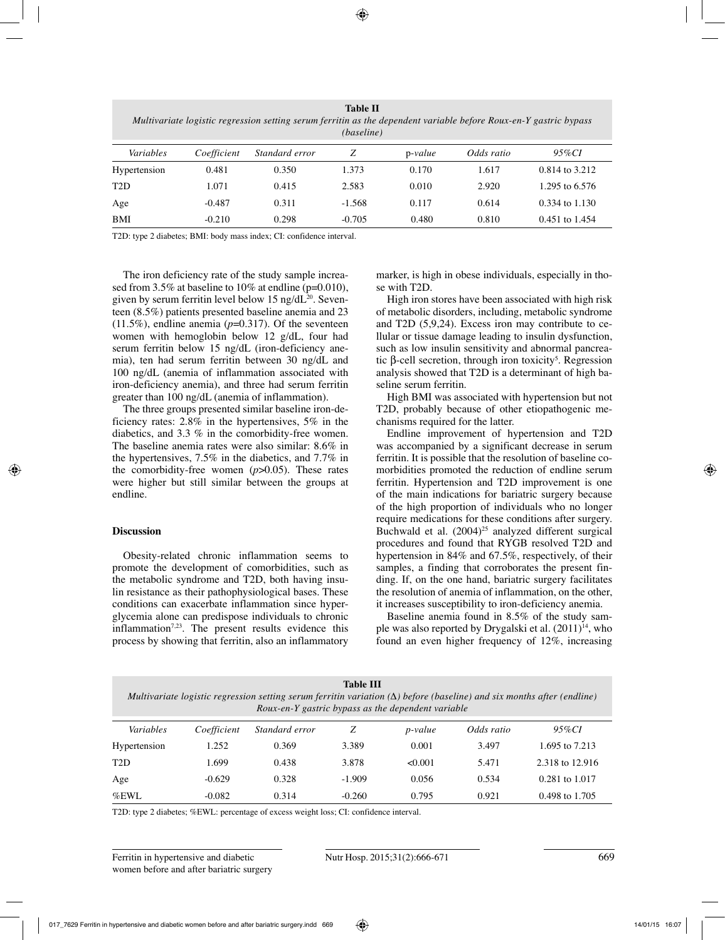| *******<br>Multivariate logistic regression setting serum ferritin as the dependent variable before Roux-en-Y gastric bypass<br>(baseline) |             |                |          |           |            |                |  |  |
|--------------------------------------------------------------------------------------------------------------------------------------------|-------------|----------------|----------|-----------|------------|----------------|--|--|
| Variables                                                                                                                                  | Coefficient | Standard error | Z        | $p-value$ | Odds ratio | 95%CI          |  |  |
| Hypertension                                                                                                                               | 0.481       | 0.350          | 1.373    | 0.170     | 1.617      | 0.814 to 3.212 |  |  |
| T <sub>2</sub> D                                                                                                                           | 1.071       | 0.415          | 2.583    | 0.010     | 2.920      | 1.295 to 6.576 |  |  |
| Age                                                                                                                                        | $-0.487$    | 0.311          | $-1.568$ | 0.117     | 0.614      | 0.334 to 1.130 |  |  |
| BMI                                                                                                                                        | $-0.210$    | 0.298          | $-0.705$ | 0.480     | 0.810      | 0.451 to 1.454 |  |  |

**Table II**

T2D: type 2 diabetes; BMI: body mass index; CI: confidence interval.

The iron deficiency rate of the study sample increased from 3.5% at baseline to 10% at endline (p=0.010). given by serum ferritin level below 15 ng/d $L^{20}$ . Seventeen (8.5%) patients presented baseline anemia and 23  $(11.5\%)$ , endline anemia ( $p=0.317$ ). Of the seventeen women with hemoglobin below 12 g/dL, four had serum ferritin below 15 ng/dL (iron-deficiency anemia), ten had serum ferritin between 30 ng/dL and 100 ng/dL (anemia of inflammation associated with iron-deficiency anemia), and three had serum ferritin greater than 100 ng/dL (anemia of inflammation).

The three groups presented similar baseline iron-deficiency rates: 2.8% in the hypertensives, 5% in the diabetics, and 3.3 % in the comorbidity-free women. The baseline anemia rates were also similar: 8.6% in the hypertensives, 7.5% in the diabetics, and 7.7% in the comorbidity-free women (*p*>0.05). These rates were higher but still similar between the groups at endline.

# **Discussion**

Obesity-related chronic inflammation seems to promote the development of comorbidities, such as the metabolic syndrome and T2D, both having insulin resistance as their pathophysiological bases. These conditions can exacerbate inflammation since hyperglycemia alone can predispose individuals to chronic inflammation<sup>7,23</sup>. The present results evidence this process by showing that ferritin, also an inflammatory marker, is high in obese individuals, especially in those with T2D.

High iron stores have been associated with high risk of metabolic disorders, including, metabolic syndrome and T2D (5,9,24). Excess iron may contribute to cellular or tissue damage leading to insulin dysfunction, such as low insulin sensitivity and abnormal pancreatic β-cell secretion, through iron toxicity<sup>5</sup>. Regression analysis showed that T2D is a determinant of high baseline serum ferritin.

High BMI was associated with hypertension but not T2D, probably because of other etiopathogenic mechanisms required for the latter.

Endline improvement of hypertension and T2D was accompanied by a significant decrease in serum ferritin. It is possible that the resolution of baseline comorbidities promoted the reduction of endline serum ferritin. Hypertension and T2D improvement is one of the main indications for bariatric surgery because of the high proportion of individuals who no longer require medications for these conditions after surgery. Buchwald et al.  $(2004)^{25}$  analyzed different surgical procedures and found that RYGB resolved T2D and hypertension in 84% and 67.5%, respectively, of their samples, a finding that corroborates the present finding. If, on the one hand, bariatric surgery facilitates the resolution of anemia of inflammation, on the other, it increases susceptibility to iron-deficiency anemia.

Baseline anemia found in 8.5% of the study sample was also reported by Drygalski et al.  $(2011)^{14}$ , who found an even higher frequency of 12%, increasing

## **Table III** *Multivariate logistic regression setting serum ferritin variation (Δ) before (baseline) and six months after (endline) Roux-en-Y gastric bypass as the dependent variable*

| Coefficient<br>Standard error | Ζ        | <i>p-value</i> | Odds ratio | 95%CI           |  |
|-------------------------------|----------|----------------|------------|-----------------|--|
| 0.369                         | 3.389    | 0.001          | 3.497      | 1.695 to 7.213  |  |
| 0.438                         | 3.878    | < 0.001        | 5.471      | 2.318 to 12.916 |  |
| 0.328                         | $-1.909$ | 0.056          | 0.534      | 0.281 to 1.017  |  |
| 0.314                         | $-0.260$ | 0.795          | 0.921      | 0.498 to 1.705  |  |
|                               |          |                |            |                 |  |

T2D: type 2 diabetes; %EWL: percentage of excess weight loss; CI: confidence interval.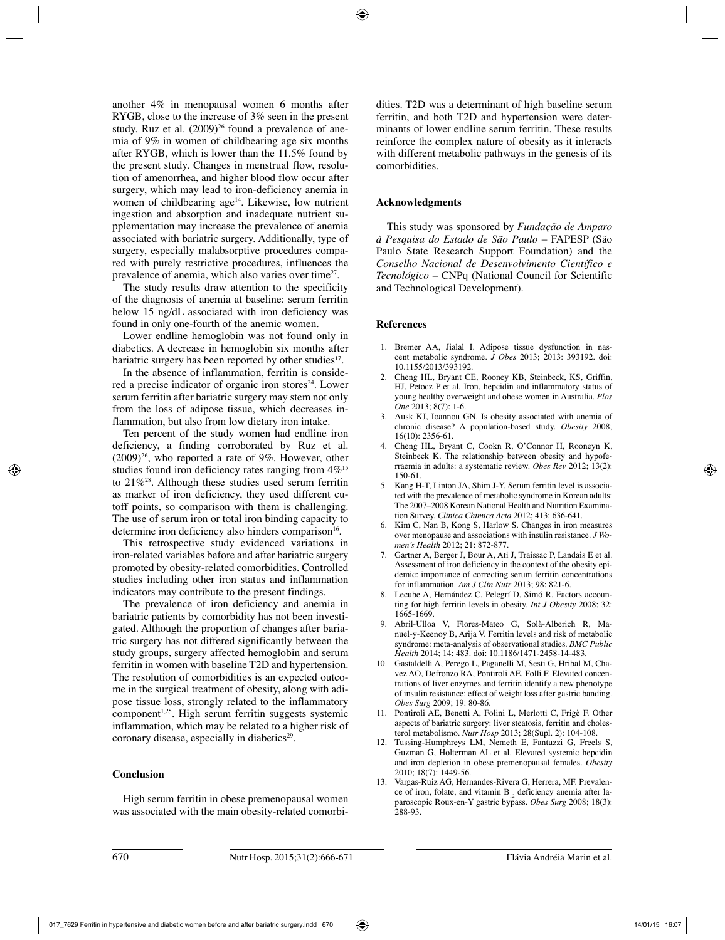another 4% in menopausal women 6 months after RYGB, close to the increase of 3% seen in the present study. Ruz et al.  $(2009)^{26}$  found a prevalence of anemia of 9% in women of childbearing age six months after RYGB, which is lower than the 11.5% found by the present study. Changes in menstrual flow, resolution of amenorrhea, and higher blood flow occur after surgery, which may lead to iron-deficiency anemia in women of childbearing age<sup>14</sup>. Likewise, low nutrient ingestion and absorption and inadequate nutrient supplementation may increase the prevalence of anemia associated with bariatric surgery. Additionally, type of surgery, especially malabsorptive procedures compared with purely restrictive procedures, influences the prevalence of anemia, which also varies over time<sup>27</sup>.

The study results draw attention to the specificity of the diagnosis of anemia at baseline: serum ferritin below 15 ng/dL associated with iron deficiency was found in only one-fourth of the anemic women.

Lower endline hemoglobin was not found only in diabetics. A decrease in hemoglobin six months after bariatric surgery has been reported by other studies $17$ .

In the absence of inflammation, ferritin is considered a precise indicator of organic iron stores<sup>24</sup>. Lower serum ferritin after bariatric surgery may stem not only from the loss of adipose tissue, which decreases inflammation, but also from low dietary iron intake.

Ten percent of the study women had endline iron deficiency, a finding corroborated by Ruz et al.  $(2009)^{26}$ , who reported a rate of 9%. However, other studies found iron deficiency rates ranging from  $4\%$ <sup>15</sup> to  $21\%^{28}$ . Although these studies used serum ferritin as marker of iron deficiency, they used different cutoff points, so comparison with them is challenging. The use of serum iron or total iron binding capacity to determine iron deficiency also hinders comparison $16$ .

This retrospective study evidenced variations in iron-related variables before and after bariatric surgery promoted by obesity-related comorbidities. Controlled studies including other iron status and inflammation indicators may contribute to the present findings.

The prevalence of iron deficiency and anemia in bariatric patients by comorbidity has not been investigated. Although the proportion of changes after bariatric surgery has not differed significantly between the study groups, surgery affected hemoglobin and serum ferritin in women with baseline T2D and hypertension. The resolution of comorbidities is an expected outcome in the surgical treatment of obesity, along with adipose tissue loss, strongly related to the inflammatory  $component<sup>1,25</sup>$ . High serum ferritin suggests systemic inflammation, which may be related to a higher risk of coronary disease, especially in diabetics $29$ .

# **Conclusion**

High serum ferritin in obese premenopausal women was associated with the main obesity-related comorbidities. T2D was a determinant of high baseline serum ferritin, and both T2D and hypertension were determinants of lower endline serum ferritin. These results reinforce the complex nature of obesity as it interacts with different metabolic pathways in the genesis of its comorbidities.

## **Acknowledgments**

This study was sponsored by *Fundação de Amparo à Pesquisa do Estado de São Paulo* – FAPESP (São Paulo State Research Support Foundation) and the *Conselho Nacional de Desenvolvimento Científico e Tecnológico* – CNPq (National Council for Scientific and Technological Development).

# **References**

- 1. Bremer AA, Jialal I. Adipose tissue dysfunction in nascent metabolic syndrome. *J Obes* 2013; 2013: 393192. doi: 10.1155/2013/393192.
- 2. Cheng HL, Bryant CE, Rooney KB, Steinbeck, KS, Griffin, HJ, Petocz P et al. Iron, hepcidin and inflammatory status of young healthy overweight and obese women in Australia. *Plos One* 2013; 8(7): 1-6.
- 3. Ausk KJ, Ioannou GN. Is obesity associated with anemia of chronic disease? A population-based study. *Obesity* 2008; 16(10): 2356-61.
- 4. Cheng HL, Bryant C, Cookn R, O'Connor H, Rooneyn K, Steinbeck K. The relationship between obesity and hypoferraemia in adults: a systematic review. *Obes Rev* 2012; 13(2): 150-61.
- 5. Kang H-T, Linton JA, Shim J-Y. Serum ferritin level is associated with the prevalence of metabolic syndrome in Korean adults: The 2007–2008 Korean National Health and Nutrition Examination Survey. *Clinica Chimica Acta* 2012; 413: 636-641.
- 6. Kim C, Nan B, Kong S, Harlow S. Changes in iron measures over menopause and associations with insulin resistance. *J Women's Health* 2012; 21: 872-877.
- 7. Gartner A, Berger J, Bour A, Ati J, Traissac P, Landais E et al. Assessment of iron deficiency in the context of the obesity epidemic: importance of correcting serum ferritin concentrations for inflammation. *Am J Clin Nutr* 2013; 98: 821-6.
- Lecube A, Hernández C, Pelegrí D, Simó R. Factors accounting for high ferritin levels in obesity. *Int J Obesity* 2008; 32: 1665-1669.
- 9. Abril-Ulloa V, Flores-Mateo G, Solà-Alberich R, Manuel-y-Keenoy B, Arija V. Ferritin levels and risk of metabolic syndrome: meta-analysis of observational studies. *BMC Public Health* 2014; 14: 483. doi: 10.1186/1471-2458-14-483.
- 10. Gastaldelli A, Perego L, Paganelli M, Sesti G, Hribal M, Chavez AO, Defronzo RA, Pontiroli AE, Folli F. Elevated concentrations of liver enzymes and ferritin identify a new phenotype of insulin resistance: effect of weight loss after gastric banding. *Obes Surg* 2009; 19: 80-86.
- 11. Pontiroli AE, Benetti A, Folini L, Merlotti C, Frigè F. Other aspects of bariatric surgery: liver steatosis, ferritin and cholesterol metabolismo. *Nutr Hosp* 2013; 28(Supl. 2): 104-108.
- 12. Tussing-Humphreys LM, Nemeth E, Fantuzzi G, Freels S, Guzman G, Holterman AL et al. Elevated systemic hepcidin and iron depletion in obese premenopausal females. *Obesity* 2010; 18(7): 1449-56.
- 13. Vargas-Ruiz AG, Hernandes-Rivera G, Herrera, MF. Prevalence of iron, folate, and vitamin  $B_{12}$  deficiency anemia after laparoscopic Roux-en-Y gastric bypass. *Obes Surg* 2008; 18(3): 288-93.